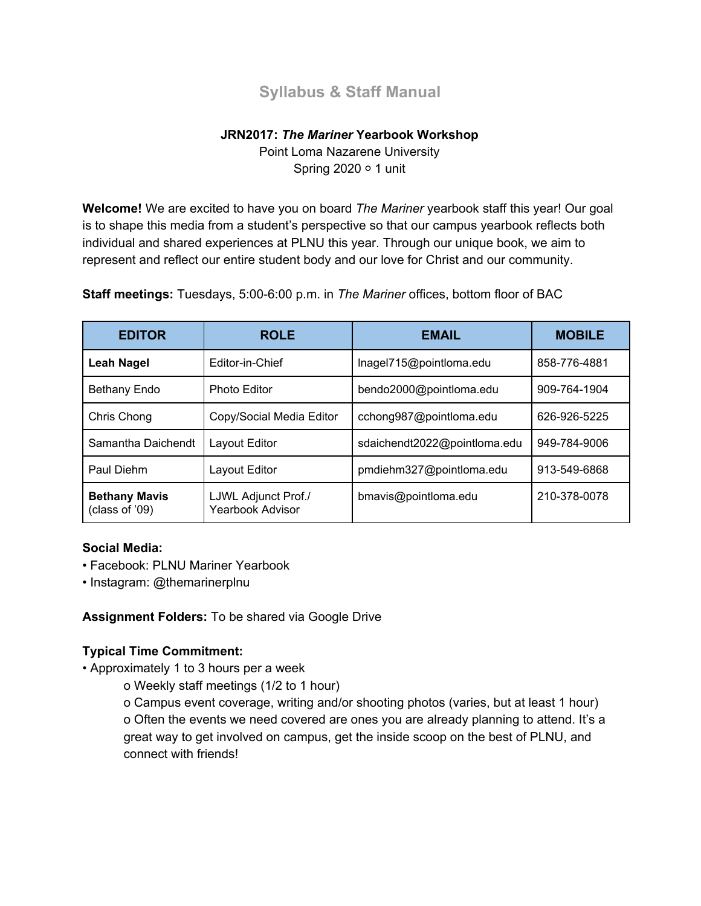# **Syllabus & Staff Manual**

# **JRN2017:** *The Mariner* **Yearbook Workshop**

Point Loma Nazarene University Spring 2020 ○ 1 unit

**Welcome!** We are excited to have you on board *The Mariner* yearbook staff this year! Our goal is to shape this media from a student's perspective so that our campus yearbook reflects both individual and shared experiences at PLNU this year. Through our unique book, we aim to represent and reflect our entire student body and our love for Christ and our community.

**Staff meetings:** Tuesdays, 5:00-6:00 p.m. in *The Mariner* offices, bottom floor of BAC

| <b>EDITOR</b>                          | <b>ROLE</b>                                    | <b>EMAIL</b>                 | <b>MOBILE</b> |
|----------------------------------------|------------------------------------------------|------------------------------|---------------|
| <b>Leah Nagel</b>                      | Editor-in-Chief                                | Inagel715@pointloma.edu      | 858-776-4881  |
| Bethany Endo                           | <b>Photo Editor</b>                            | bendo2000@pointloma.edu      | 909-764-1904  |
| Chris Chong                            | Copy/Social Media Editor                       | cchong987@pointloma.edu      | 626-926-5225  |
| Samantha Daichendt                     | Layout Editor                                  | sdaichendt2022@pointloma.edu | 949-784-9006  |
| Paul Diehm                             | Layout Editor                                  | pmdiehm327@pointloma.edu     | 913-549-6868  |
| <b>Bethany Mavis</b><br>(class of '09) | LJWL Adjunct Prof./<br><b>Yearbook Advisor</b> | bmavis@pointloma.edu         | 210-378-0078  |

#### **Social Media:**

- Facebook: PLNU Mariner Yearbook
- Instagram: @themarinerplnu

**Assignment Folders:** To be shared via Google Drive

#### **Typical Time Commitment:**

- Approximately 1 to 3 hours per a week
	- o Weekly staff meetings (1/2 to 1 hour)

o Campus event coverage, writing and/or shooting photos (varies, but at least 1 hour) o Often the events we need covered are ones you are already planning to attend. It's a great way to get involved on campus, get the inside scoop on the best of PLNU, and connect with friends!